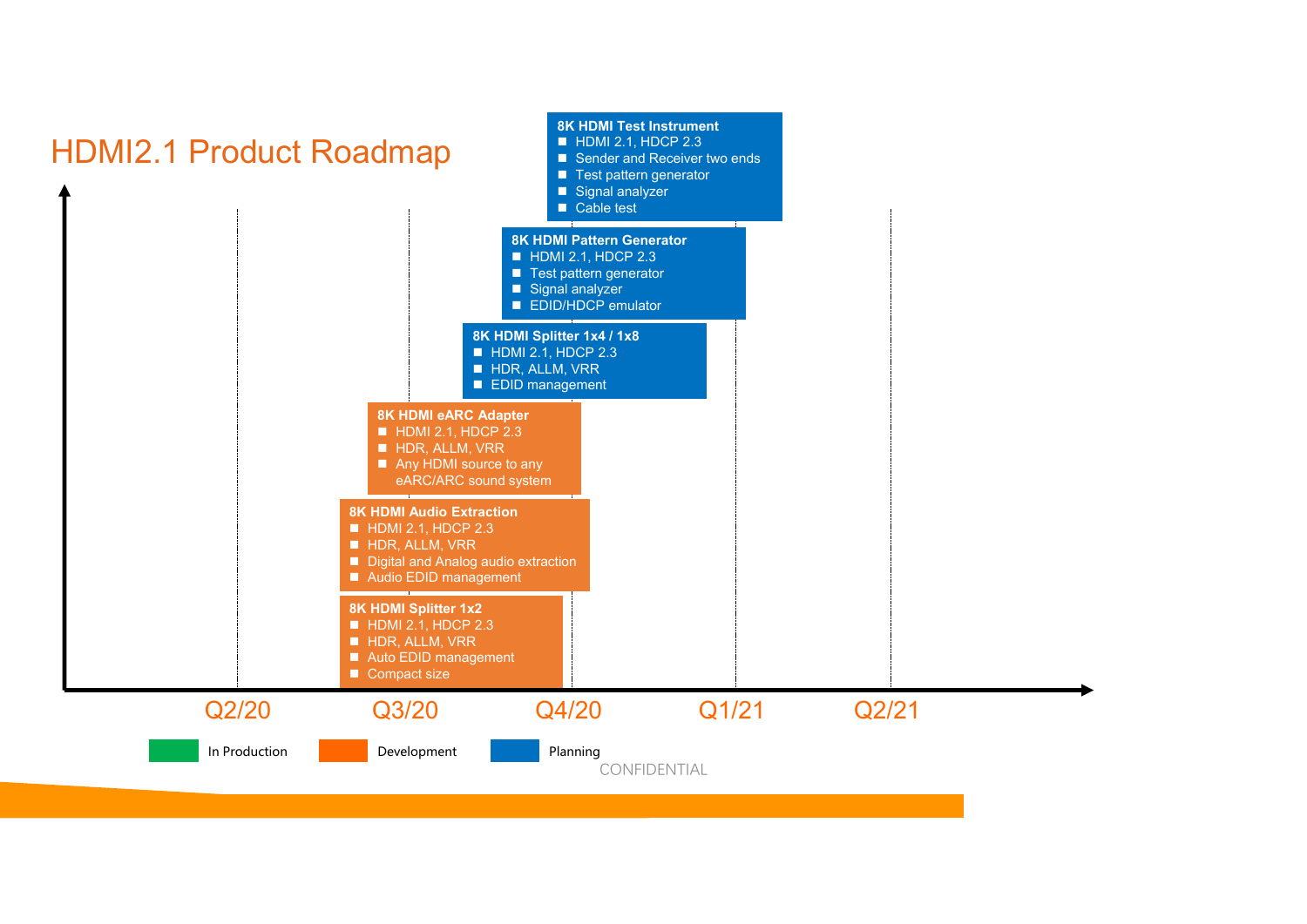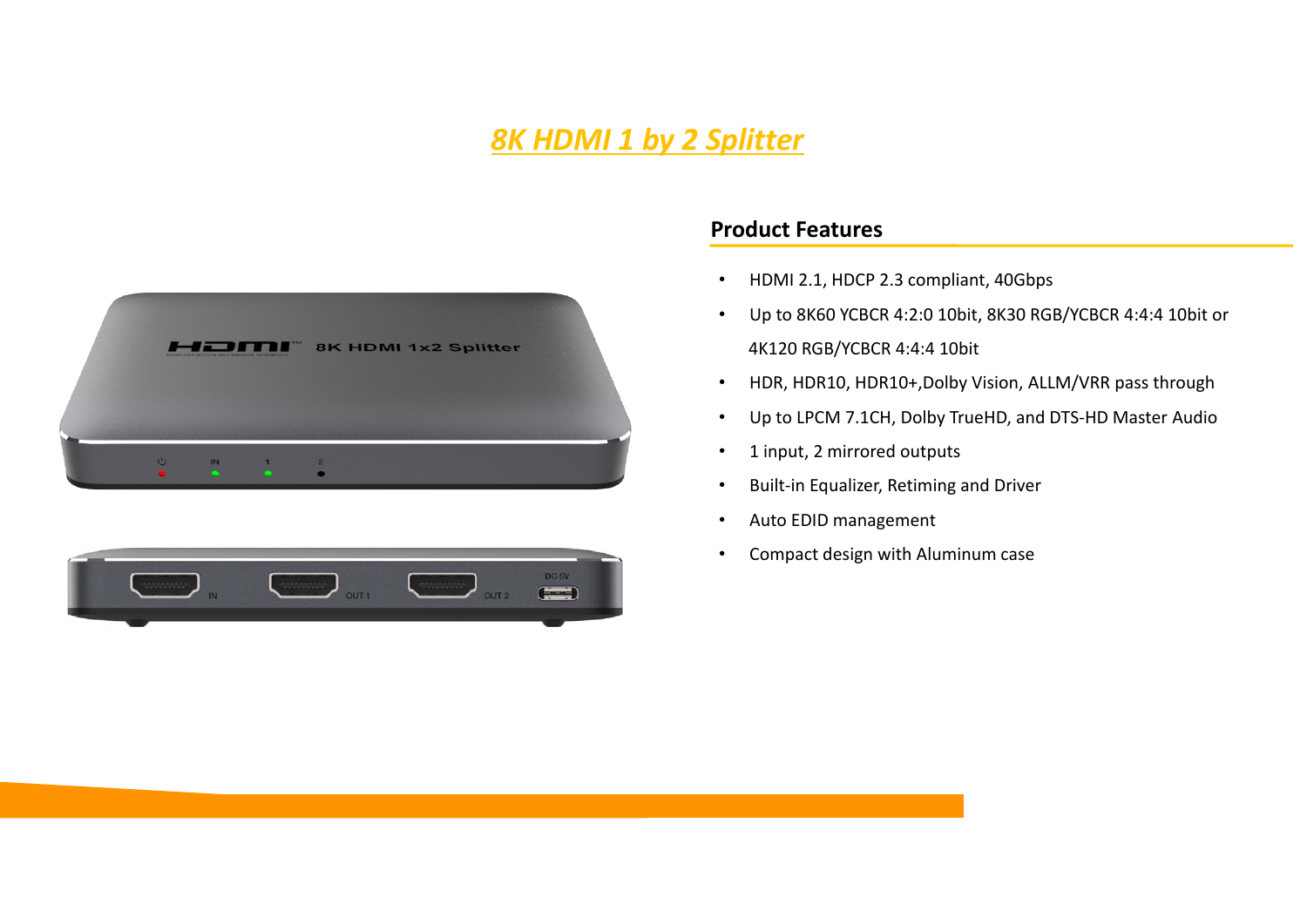# *8K HDMI 1 by 2 Splitter*





### **Product Features**

- $\bullet$ HDMI 2.1, HDCP 2.3 compliant, 40Gbps
- • Up to 8K60 YCBCR 4:2:0 10bit, 8K30 RGB/YCBCR 4:4:4 10bit or 4K120 RGB/YCBCR 4:4:4 10bit
- •HDR, HDR10, HDR10+,Dolby Vision, ALLM/VRR pass through
- •Up to LPCM 7.1CH, Dolby TrueHD, and DTS‐HD Master Audio
- •1 input, 2 mirrored outputs
- •Built‐in Equalizer, Retiming and Driver
- •Auto EDID management
- •Compact design with Aluminum case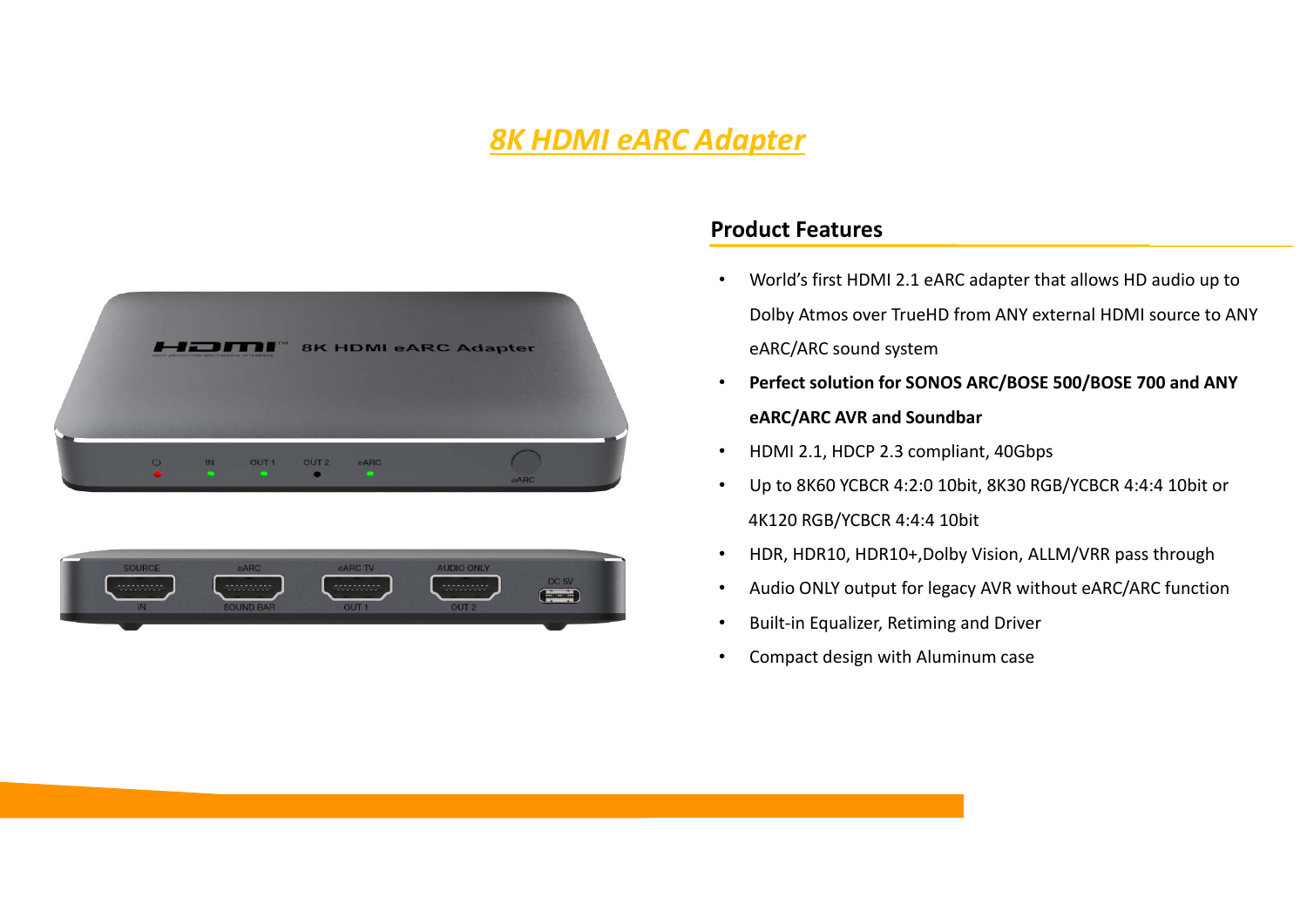## *8K HDMI eARC Adapter*





### **Product Features**

- • World's first HDMI 2.1 eARC adapter that allows HD audio up to Dolby Atmos over TrueHD from ANY external HDMI source to ANY eARC/ARC sound system
- • **Perfect solution for SONOS ARC/BOSE 500/BOSE 700 and ANY eARC/ARC AVR and Soundbar**
- •HDMI 2.1, HDCP 2.3 compliant, 40Gbps
- • Up to 8K60 YCBCR 4:2:0 10bit, 8K30 RGB/YCBCR 4:4:4 10bit or 4K120 RGB/YCBCR 4:4:4 10bit
- •HDR, HDR10, HDR10+,Dolby Vision, ALLM/VRR pass through
- •Audio ONLY output for legacy AVR without eARC/ARC function
- •Built‐in Equalizer, Retiming and Driver
- •Compact design with Aluminum case